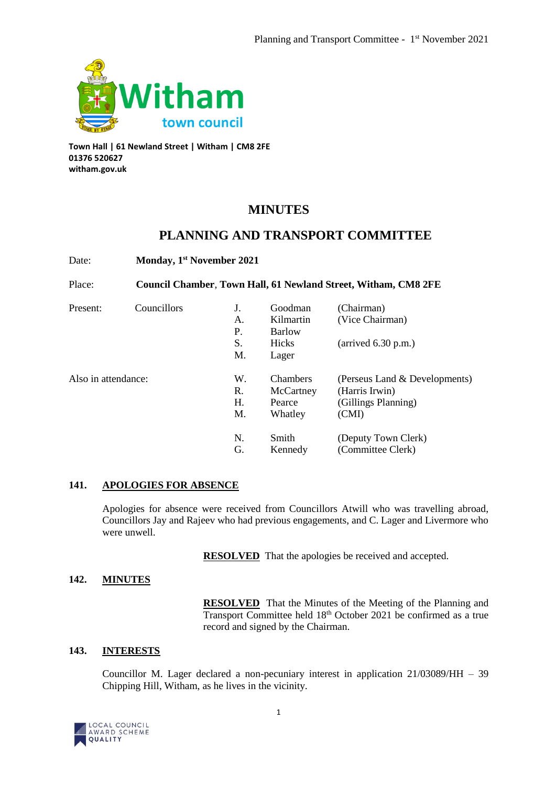

**Town Hall | 61 Newland Street | Witham | CM8 2FE 01376 520627 witham.gov.uk**

# **MINUTES**

# **PLANNING AND TRANSPORT COMMITTEE**

Date: **Monday, 1st November 2021**

Place: **Council Chamber**, **Town Hall, 61 Newland Street, Witham, CM8 2FE**

| Present:            | Councillors |    | Goodman         | (Chairman)                    |
|---------------------|-------------|----|-----------------|-------------------------------|
|                     |             | А. | Kilmartin       | (Vice Chairman)               |
|                     |             | P. | Barlow          |                               |
|                     |             | S. | Hicks           | $\ar{i}$ (arrived 6.30 p.m.)  |
|                     |             | M. | Lager           |                               |
| Also in attendance: |             | W. | <b>Chambers</b> | (Perseus Land & Developments) |
|                     |             | R. | McCartney       | (Harris Irwin)                |
|                     |             | Н. | Pearce          | (Gillings Planning)           |
|                     |             | M. | Whatley         | (CMI)                         |
|                     |             | N. | Smith           | (Deputy Town Clerk)           |
|                     |             | G. | Kennedy         | (Committee Clerk)             |

# **141. APOLOGIES FOR ABSENCE**

Apologies for absence were received from Councillors Atwill who was travelling abroad, Councillors Jay and Rajeev who had previous engagements, and C. Lager and Livermore who were unwell.

**RESOLVED** That the apologies be received and accepted.

# **142. MINUTES**

**RESOLVED** That the Minutes of the Meeting of the Planning and Transport Committee held 18th October 2021 be confirmed as a true record and signed by the Chairman.

# **143. INTERESTS**

Councillor M. Lager declared a non-pecuniary interest in application 21/03089/HH – 39 Chipping Hill, Witham, as he lives in the vicinity.

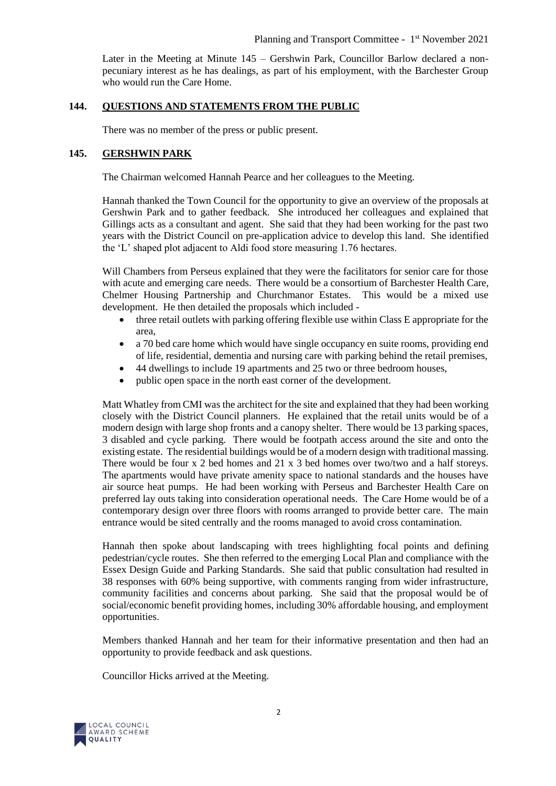Later in the Meeting at Minute 145 – Gershwin Park, Councillor Barlow declared a nonpecuniary interest as he has dealings, as part of his employment, with the Barchester Group who would run the Care Home.

## **144. QUESTIONS AND STATEMENTS FROM THE PUBLIC**

There was no member of the press or public present.

# **145. GERSHWIN PARK**

The Chairman welcomed Hannah Pearce and her colleagues to the Meeting.

Hannah thanked the Town Council for the opportunity to give an overview of the proposals at Gershwin Park and to gather feedback. She introduced her colleagues and explained that Gillings acts as a consultant and agent. She said that they had been working for the past two years with the District Council on pre-application advice to develop this land. She identified the 'L' shaped plot adjacent to Aldi food store measuring 1.76 hectares.

Will Chambers from Perseus explained that they were the facilitators for senior care for those with acute and emerging care needs. There would be a consortium of Barchester Health Care, Chelmer Housing Partnership and Churchmanor Estates. This would be a mixed use development. He then detailed the proposals which included -

- three retail outlets with parking offering flexible use within Class E appropriate for the area,
- a 70 bed care home which would have single occupancy en suite rooms, providing end of life, residential, dementia and nursing care with parking behind the retail premises,
- 44 dwellings to include 19 apartments and 25 two or three bedroom houses,
- public open space in the north east corner of the development.

Matt Whatley from CMI was the architect for the site and explained that they had been working closely with the District Council planners. He explained that the retail units would be of a modern design with large shop fronts and a canopy shelter. There would be 13 parking spaces, 3 disabled and cycle parking. There would be footpath access around the site and onto the existing estate. The residential buildings would be of a modern design with traditional massing. There would be four x 2 bed homes and 21 x 3 bed homes over two/two and a half storeys. The apartments would have private amenity space to national standards and the houses have air source heat pumps. He had been working with Perseus and Barchester Health Care on preferred lay outs taking into consideration operational needs. The Care Home would be of a contemporary design over three floors with rooms arranged to provide better care. The main entrance would be sited centrally and the rooms managed to avoid cross contamination.

Hannah then spoke about landscaping with trees highlighting focal points and defining pedestrian/cycle routes. She then referred to the emerging Local Plan and compliance with the Essex Design Guide and Parking Standards. She said that public consultation had resulted in 38 responses with 60% being supportive, with comments ranging from wider infrastructure, community facilities and concerns about parking. She said that the proposal would be of social/economic benefit providing homes, including 30% affordable housing, and employment opportunities.

Members thanked Hannah and her team for their informative presentation and then had an opportunity to provide feedback and ask questions.

Councillor Hicks arrived at the Meeting.

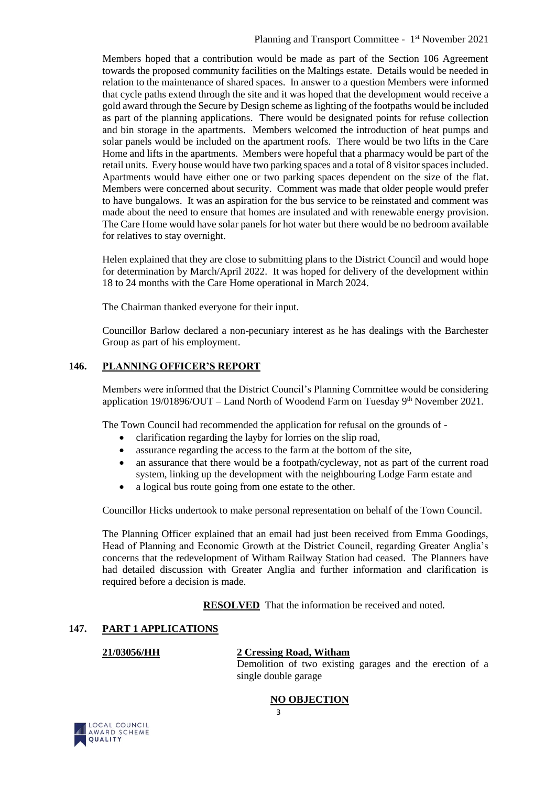Members hoped that a contribution would be made as part of the Section 106 Agreement towards the proposed community facilities on the Maltings estate. Details would be needed in relation to the maintenance of shared spaces. In answer to a question Members were informed that cycle paths extend through the site and it was hoped that the development would receive a gold award through the Secure by Design scheme as lighting of the footpaths would be included as part of the planning applications. There would be designated points for refuse collection and bin storage in the apartments. Members welcomed the introduction of heat pumps and solar panels would be included on the apartment roofs. There would be two lifts in the Care Home and lifts in the apartments. Members were hopeful that a pharmacy would be part of the retail units. Every house would have two parking spaces and a total of 8 visitor spaces included. Apartments would have either one or two parking spaces dependent on the size of the flat. Members were concerned about security. Comment was made that older people would prefer to have bungalows. It was an aspiration for the bus service to be reinstated and comment was made about the need to ensure that homes are insulated and with renewable energy provision. The Care Home would have solar panels for hot water but there would be no bedroom available for relatives to stay overnight.

Helen explained that they are close to submitting plans to the District Council and would hope for determination by March/April 2022. It was hoped for delivery of the development within 18 to 24 months with the Care Home operational in March 2024.

The Chairman thanked everyone for their input.

Councillor Barlow declared a non-pecuniary interest as he has dealings with the Barchester Group as part of his employment.

# **146. PLANNING OFFICER'S REPORT**

Members were informed that the District Council's Planning Committee would be considering application  $19/01896/OUT - Land North$  of Woodend Farm on Tuesday  $9<sup>th</sup>$  November 2021.

The Town Council had recommended the application for refusal on the grounds of -

- clarification regarding the layby for lorries on the slip road,
- assurance regarding the access to the farm at the bottom of the site,
- an assurance that there would be a footpath/cycleway, not as part of the current road system, linking up the development with the neighbouring Lodge Farm estate and
- a logical bus route going from one estate to the other.

Councillor Hicks undertook to make personal representation on behalf of the Town Council.

The Planning Officer explained that an email had just been received from Emma Goodings, Head of Planning and Economic Growth at the District Council, regarding Greater Anglia's concerns that the redevelopment of Witham Railway Station had ceased. The Planners have had detailed discussion with Greater Anglia and further information and clarification is required before a decision is made.

**RESOLVED** That the information be received and noted.

# **147. PART 1 APPLICATIONS**

# **21/03056/HH 2 Cressing Road, Witham**

Demolition of two existing garages and the erection of a single double garage

### **NO OBJECTION**



3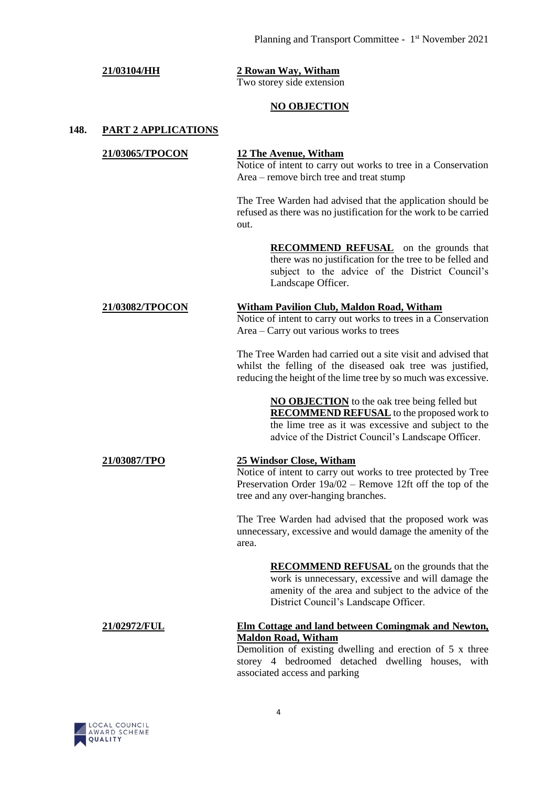# **21/03104/HH 2 Rowan Way, Witham** Two storey side extension **NO OBJECTION 148. PART 2 APPLICATIONS 21/03065/TPOCON 12 The Avenue, Witham** Notice of intent to carry out works to tree in a Conservation Area – remove birch tree and treat stump The Tree Warden had advised that the application should be refused as there was no justification for the work to be carried out. **RECOMMEND REFUSAL** on the grounds that there was no justification for the tree to be felled and subject to the advice of the District Council's Landscape Officer. **21/03082/TPOCON Witham Pavilion Club, Maldon Road, Witham** Notice of intent to carry out works to trees in a Conservation Area – Carry out various works to trees The Tree Warden had carried out a site visit and advised that whilst the felling of the diseased oak tree was justified, reducing the height of the lime tree by so much was excessive. **NO OBJECTION** to the oak tree being felled but **RECOMMEND REFUSAL** to the proposed work to the lime tree as it was excessive and subject to the advice of the District Council's Landscape Officer. **21/03087/TPO 25 Windsor Close, Witham** Notice of intent to carry out works to tree protected by Tree Preservation Order 19a/02 – Remove 12ft off the top of the tree and any over-hanging branches. The Tree Warden had advised that the proposed work was unnecessary, excessive and would damage the amenity of the area. **RECOMMEND REFUSAL** on the grounds that the work is unnecessary, excessive and will damage the amenity of the area and subject to the advice of the District Council's Landscape Officer. **21/02972/FUL Elm Cottage and land between Comingmak and Newton, Maldon Road, Witham** Demolition of existing dwelling and erection of 5 x three storey 4 bedroomed detached dwelling houses, with associated access and parking

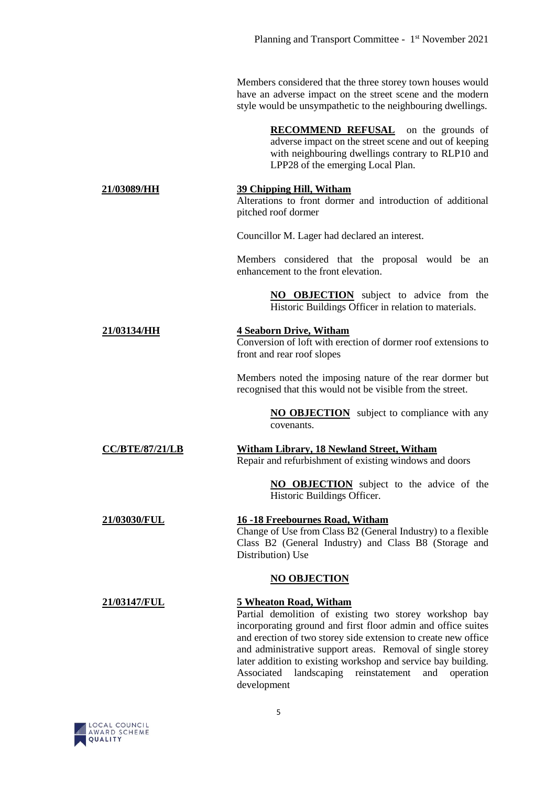Members considered that the three storey town houses would have an adverse impact on the street scene and the modern style would be unsympathetic to the neighbouring dwellings.

> **RECOMMEND REFUSAL** on the grounds of adverse impact on the street scene and out of keeping with neighbouring dwellings contrary to RLP10 and LPP28 of the emerging Local Plan.

#### **21/03089/HH 39 Chipping Hill, Witham** Alterations to front dormer and introduction of additional

pitched roof dormer

Councillor M. Lager had declared an interest.

Members considered that the proposal would be an enhancement to the front elevation.

> **NO OBJECTION** subject to advice from the Historic Buildings Officer in relation to materials.

## **21/03134/HH 4 Seaborn Drive, Witham**

Conversion of loft with erection of dormer roof extensions to front and rear roof slopes

Members noted the imposing nature of the rear dormer but recognised that this would not be visible from the street.

> **NO OBJECTION** subject to compliance with any covenants.

### **CC/BTE/87/21/LB Witham Library, 18 Newland Street, Witham** Repair and refurbishment of existing windows and doors

**NO OBJECTION** subject to the advice of the Historic Buildings Officer.

### **21/03030/FUL 16 -18 Freebournes Road, Witham** Change of Use from Class B2 (General Industry) to a flexible Class B2 (General Industry) and Class B8 (Storage and Distribution) Use

# **NO OBJECTION**

# **21/03147/FUL 5 Wheaton Road, Witham**

Partial demolition of existing two storey workshop bay incorporating ground and first floor admin and office suites and erection of two storey side extension to create new office and administrative support areas. Removal of single storey later addition to existing workshop and service bay building. Associated landscaping reinstatement and operation development